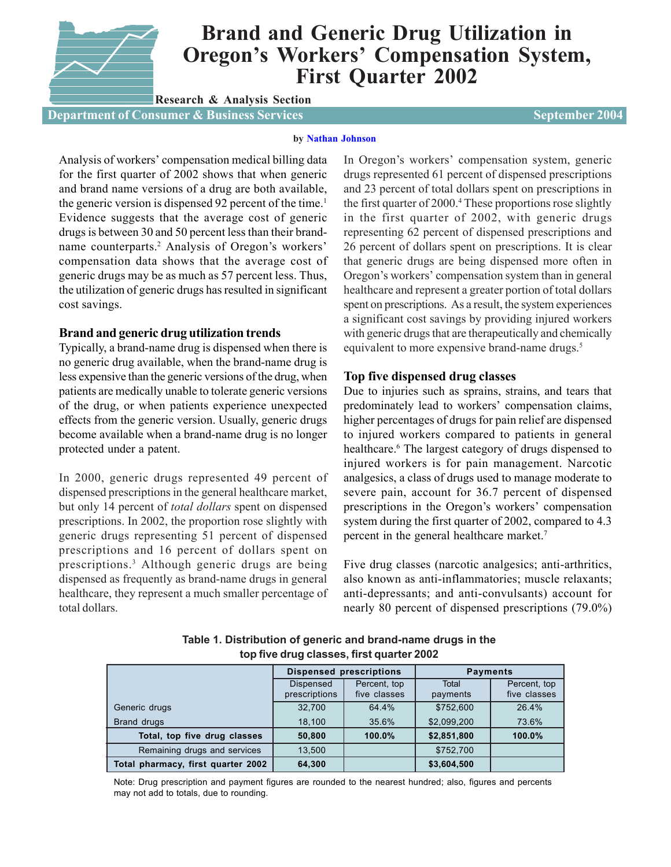

# **Brand and Generic Drug Utilization in Oregon's Workers' Compensation System, First Quarter 2002**

**Research & Analysis Section**

**Department of Consumer & Business Services Services Services September 2004** 

## **[by Nathan Johnson](mailto:nathan.johnson@state.or.us)**

Analysis of workers' compensation medical billing data for the first quarter of 2002 shows that when generic and brand name versions of a drug are both available, the generic version is dispensed 92 percent of the time.<sup>1</sup> Evidence suggests that the average cost of generic drugs is between 30 and 50 percent less than their brandname counterparts.2 Analysis of Oregon's workers' compensation data shows that the average cost of generic drugs may be as much as 57 percent less. Thus, the utilization of generic drugs has resulted in significant cost savings.

# **Brand and generic drug utilization trends**

Typically, a brand-name drug is dispensed when there is no generic drug available, when the brand-name drug is less expensive than the generic versions of the drug, when patients are medically unable to tolerate generic versions of the drug, or when patients experience unexpected effects from the generic version. Usually, generic drugs become available when a brand-name drug is no longer protected under a patent.

In 2000, generic drugs represented 49 percent of dispensed prescriptions in the general healthcare market, but only 14 percent of *total dollars* spent on dispensed prescriptions. In 2002, the proportion rose slightly with generic drugs representing 51 percent of dispensed prescriptions and 16 percent of dollars spent on prescriptions.3 Although generic drugs are being dispensed as frequently as brand-name drugs in general healthcare, they represent a much smaller percentage of total dollars.

In Oregon's workers' compensation system, generic drugs represented 61 percent of dispensed prescriptions and 23 percent of total dollars spent on prescriptions in the first quarter of 2000.<sup>4</sup> These proportions rose slightly in the first quarter of 2002, with generic drugs representing 62 percent of dispensed prescriptions and 26 percent of dollars spent on prescriptions. It is clear that generic drugs are being dispensed more often in Oregon's workers' compensation system than in general healthcare and represent a greater portion of total dollars spent on prescriptions. As a result, the system experiences a significant cost savings by providing injured workers with generic drugs that are therapeutically and chemically equivalent to more expensive brand-name drugs.<sup>5</sup>

# **Top five dispensed drug classes**

Due to injuries such as sprains, strains, and tears that predominately lead to workers' compensation claims, higher percentages of drugs for pain relief are dispensed to injured workers compared to patients in general healthcare.<sup>6</sup> The largest category of drugs dispensed to injured workers is for pain management. Narcotic analgesics, a class of drugs used to manage moderate to severe pain, account for 36.7 percent of dispensed prescriptions in the Oregon's workers' compensation system during the first quarter of 2002, compared to 4.3 percent in the general healthcare market.7

Five drug classes (narcotic analgesics; anti-arthritics, also known as anti-inflammatories; muscle relaxants; anti-depressants; and anti-convulsants) account for nearly 80 percent of dispensed prescriptions (79.0%)

|                                    | <b>Dispensed prescriptions</b> |                              | <b>Payments</b>   |                              |  |
|------------------------------------|--------------------------------|------------------------------|-------------------|------------------------------|--|
|                                    | Dispensed<br>prescriptions     | Percent, top<br>five classes | Total<br>payments | Percent, top<br>five classes |  |
| Generic drugs                      | 32,700                         | 64.4%                        | \$752,600         | 26.4%                        |  |
| Brand drugs                        | 18,100                         | 35.6%                        | \$2,099,200       | 73.6%                        |  |
| Total, top five drug classes       | 50,800                         | 100.0%                       | \$2,851,800       | 100.0%                       |  |
| Remaining drugs and services       | 13,500                         |                              | \$752,700         |                              |  |
| Total pharmacy, first quarter 2002 | 64,300                         |                              | \$3,604,500       |                              |  |

**Table 1. Distribution of generic and brand-name drugs in the top five drug classes, first quarter 2002**

Note: Drug prescription and payment figures are rounded to the nearest hundred; also, figures and percents may not add to totals, due to rounding.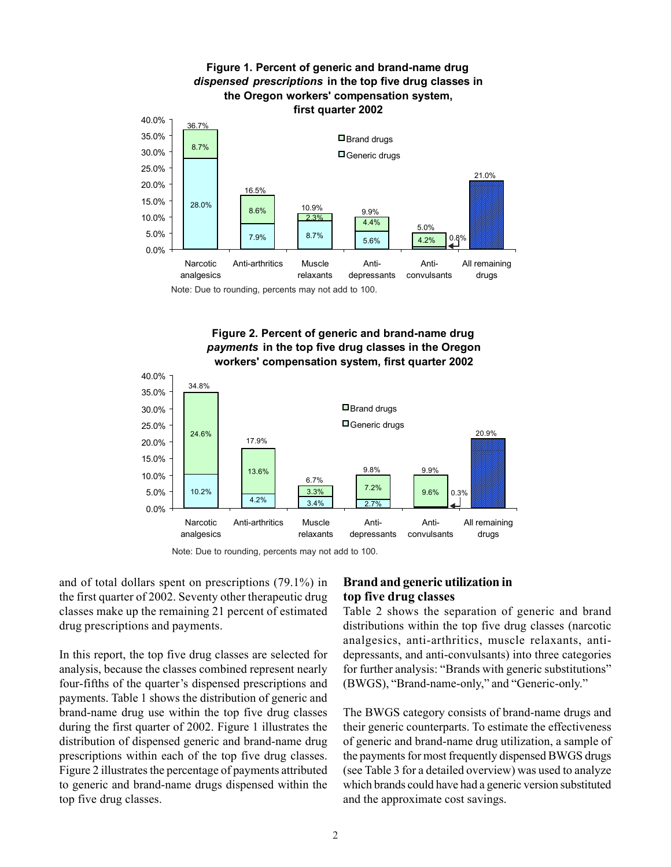

# **Figure 2. Percent of generic and brand-name drug**  *payments* **in the top five drug classes in the Oregon workers' compensation system, first quarter 2002**



Note: Due to rounding, percents may not add to 100.

and of total dollars spent on prescriptions (79.1%) in the first quarter of 2002. Seventy other therapeutic drug classes make up the remaining 21 percent of estimated drug prescriptions and payments.

In this report, the top five drug classes are selected for analysis, because the classes combined represent nearly four-fifths of the quarter's dispensed prescriptions and payments. Table 1 shows the distribution of generic and brand-name drug use within the top five drug classes during the first quarter of 2002. Figure 1 illustrates the distribution of dispensed generic and brand-name drug prescriptions within each of the top five drug classes. Figure 2 illustrates the percentage of payments attributed to generic and brand-name drugs dispensed within the top five drug classes.

# **Brand and generic utilization in top five drug classes**

Table 2 shows the separation of generic and brand distributions within the top five drug classes (narcotic analgesics, anti-arthritics, muscle relaxants, antidepressants, and anti-convulsants) into three categories for further analysis: "Brands with generic substitutions" (BWGS), "Brand-name-only," and "Generic-only."

The BWGS category consists of brand-name drugs and their generic counterparts. To estimate the effectiveness of generic and brand-name drug utilization, a sample of the payments for most frequently dispensed BWGS drugs (see Table 3 for a detailed overview) was used to analyze which brands could have had a generic version substituted and the approximate cost savings.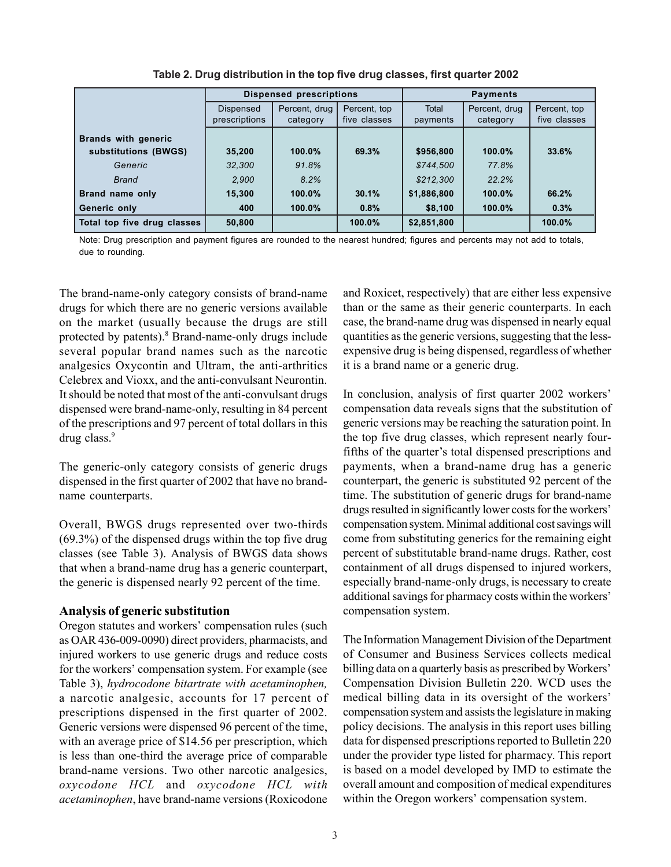|                             | <b>Dispensed prescriptions</b> |               |              | <b>Payments</b>               |           |              |  |
|-----------------------------|--------------------------------|---------------|--------------|-------------------------------|-----------|--------------|--|
|                             | Dispensed                      | Percent, drug | Percent, top | <b>Total</b><br>Percent, drug |           | Percent, top |  |
|                             | prescriptions                  | category      | five classes | payments                      | category  | five classes |  |
| <b>Brands with generic</b>  |                                |               |              |                               |           |              |  |
| substitutions (BWGS)        | 35,200                         | $100.0\%$     | 69.3%        | \$956,800                     | 100.0%    | 33.6%        |  |
| Generic                     | 32.300                         | 91.8%         |              | \$744.500                     | 77.8%     |              |  |
| <b>Brand</b>                | 2,900                          | 8.2%          |              | \$212,300                     | 22.2%     |              |  |
| Brand name only             | 15,300                         | $100.0\%$     | 30.1%        | \$1,886,800                   | $100.0\%$ | 66.2%        |  |
| Generic only                | 400                            | $100.0\%$     | 0.8%         | \$8,100                       | 100.0%    | 0.3%         |  |
| Total top five drug classes | 50,800                         |               | 100.0%       | \$2,851,800                   |           | 100.0%       |  |

**Table 2. Drug distribution in the top five drug classes, first quarter 2002**

Note: Drug prescription and payment figures are rounded to the nearest hundred; figures and percents may not add to totals, due to rounding.

The brand-name-only category consists of brand-name drugs for which there are no generic versions available on the market (usually because the drugs are still protected by patents).<sup>8</sup> Brand-name-only drugs include several popular brand names such as the narcotic analgesics Oxycontin and Ultram, the anti-arthritics Celebrex and Vioxx, and the anti-convulsant Neurontin. It should be noted that most of the anti-convulsant drugs dispensed were brand-name-only, resulting in 84 percent of the prescriptions and 97 percent of total dollars in this drug class.<sup>9</sup>

The generic-only category consists of generic drugs dispensed in the first quarter of 2002 that have no brandname counterparts.

Overall, BWGS drugs represented over two-thirds (69.3%) of the dispensed drugs within the top five drug classes (see Table 3). Analysis of BWGS data shows that when a brand-name drug has a generic counterpart, the generic is dispensed nearly 92 percent of the time.

## **Analysis of generic substitution**

Oregon statutes and workers' compensation rules (such as OAR 436-009-0090) direct providers, pharmacists, and injured workers to use generic drugs and reduce costs for the workers' compensation system. For example (see Table 3), *hydrocodone bitartrate with acetaminophen,* a narcotic analgesic, accounts for 17 percent of prescriptions dispensed in the first quarter of 2002. Generic versions were dispensed 96 percent of the time, with an average price of \$14.56 per prescription, which is less than one-third the average price of comparable brand-name versions. Two other narcotic analgesics, *oxycodone HCL* and *oxycodone HCL with acetaminophen*, have brand-name versions (Roxicodone and Roxicet, respectively) that are either less expensive than or the same as their generic counterparts. In each case, the brand-name drug was dispensed in nearly equal quantities as the generic versions, suggesting that the lessexpensive drug is being dispensed, regardless of whether it is a brand name or a generic drug.

In conclusion, analysis of first quarter 2002 workers' compensation data reveals signs that the substitution of generic versions may be reaching the saturation point. In the top five drug classes, which represent nearly fourfifths of the quarter's total dispensed prescriptions and payments, when a brand-name drug has a generic counterpart, the generic is substituted 92 percent of the time. The substitution of generic drugs for brand-name drugs resulted in significantly lower costs for the workers' compensation system. Minimal additional cost savings will come from substituting generics for the remaining eight percent of substitutable brand-name drugs. Rather, cost containment of all drugs dispensed to injured workers, especially brand-name-only drugs, is necessary to create additional savings for pharmacy costs within the workers' compensation system.

The Information Management Division of the Department of Consumer and Business Services collects medical billing data on a quarterly basis as prescribed by Workers' Compensation Division Bulletin 220. WCD uses the medical billing data in its oversight of the workers' compensation system and assists the legislature in making policy decisions. The analysis in this report uses billing data for dispensed prescriptions reported to Bulletin 220 under the provider type listed for pharmacy. This report is based on a model developed by IMD to estimate the overall amount and composition of medical expenditures within the Oregon workers' compensation system.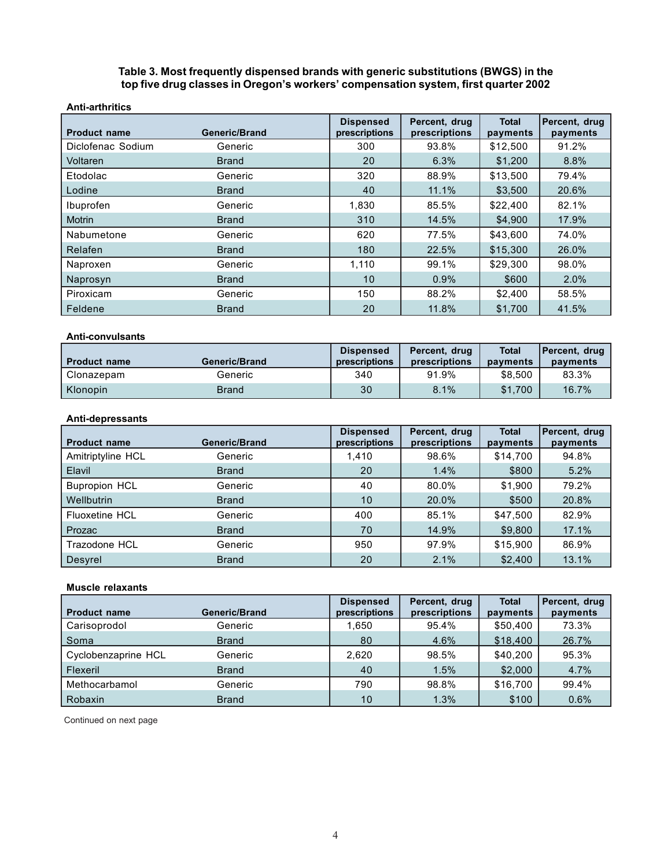## **Table 3. Most frequently dispensed brands with generic substitutions (BWGS) in the top five drug classes in Oregon's workers' compensation system, first quarter 2002**

| <b>Anti-arthritics</b> |               |                                   |                                |                          |                           |
|------------------------|---------------|-----------------------------------|--------------------------------|--------------------------|---------------------------|
| <b>Product name</b>    | Generic/Brand | <b>Dispensed</b><br>prescriptions | Percent, drug<br>prescriptions | <b>Total</b><br>payments | Percent, drug<br>payments |
| Diclofenac Sodium      | Generic       | 300                               | 93.8%                          | \$12,500                 | 91.2%                     |
| Voltaren               | <b>Brand</b>  | 20                                | 6.3%                           | \$1,200                  | 8.8%                      |
| Etodolac               | Generic       | 320                               | 88.9%                          | \$13,500                 | 79.4%                     |
| Lodine                 | <b>Brand</b>  | 40                                | 11.1%                          | \$3,500                  | 20.6%                     |
| Ibuprofen              | Generic       | 1,830                             | 85.5%                          | \$22,400                 | 82.1%                     |
| <b>Motrin</b>          | <b>Brand</b>  | 310                               | 14.5%                          | \$4,900                  | 17.9%                     |
| Nabumetone             | Generic       | 620                               | 77.5%                          | \$43,600                 | 74.0%                     |
| Relafen                | <b>Brand</b>  | 180                               | 22.5%                          | \$15,300                 | 26.0%                     |
| Naproxen               | Generic       | 1,110                             | 99.1%                          | \$29,300                 | 98.0%                     |
| Naprosyn               | <b>Brand</b>  | 10                                | 0.9%                           | \$600                    | 2.0%                      |
| Piroxicam              | Generic       | 150                               | 88.2%                          | \$2,400                  | 58.5%                     |
| Feldene                | <b>Brand</b>  | 20                                | 11.8%                          | \$1,700                  | 41.5%                     |

#### **Anti-convulsants**

| <b>Product name</b> | Generic/Brand | <b>Dispensed</b><br>prescriptions | Percent, drug<br>prescriptions | <b>Total</b><br>payments | Percent, drug<br>payments |
|---------------------|---------------|-----------------------------------|--------------------------------|--------------------------|---------------------------|
| Clonazepam          | Generic       | 340                               | 91.9%                          | \$8,500                  | 83.3%                     |
| Klonopin            | Brand         | 30                                | 8.1%                           | \$1.700                  | $16.7\%$                  |

## **Anti-depressants**

| <b>Product name</b>   | <b>Generic/Brand</b> | <b>Dispensed</b><br>prescriptions | Percent, drug<br>prescriptions | <b>Total</b><br>payments | Percent, drug<br>payments |
|-----------------------|----------------------|-----------------------------------|--------------------------------|--------------------------|---------------------------|
| Amitriptyline HCL     | Generic              | 1.410                             | 98.6%                          | \$14,700                 | 94.8%                     |
| Elavil                | <b>Brand</b>         | 20                                | 1.4%                           | \$800                    | 5.2%                      |
| <b>Bupropion HCL</b>  | Generic              | 40                                | 80.0%                          | \$1.900                  | 79.2%                     |
| Wellbutrin            | <b>Brand</b>         | 10                                | 20.0%                          | \$500                    | 20.8%                     |
| <b>Fluoxetine HCL</b> | Generic              | 400                               | 85.1%                          | \$47,500                 | 82.9%                     |
| Prozac                | <b>Brand</b>         | 70                                | 14.9%                          | \$9,800                  | 17.1%                     |
| Trazodone HCL         | Generic              | 950                               | 97.9%                          | \$15,900                 | 86.9%                     |
| Desyrel               | <b>Brand</b>         | 20                                | 2.1%                           | \$2,400                  | 13.1%                     |

### **Muscle relaxants**

|                     |                      | <b>Dispensed</b> | Percent, drug | <b>Total</b> | Percent, drug |
|---------------------|----------------------|------------------|---------------|--------------|---------------|
| <b>Product name</b> | <b>Generic/Brand</b> | prescriptions    | prescriptions | payments     | payments      |
| Carisoprodol        | Generic              | 1.650            | 95.4%         | \$50,400     | 73.3%         |
| Soma                | <b>Brand</b>         | 80               | 4.6%          | \$18,400     | 26.7%         |
| Cyclobenzaprine HCL | Generic              | 2.620            | 98.5%         | \$40,200     | 95.3%         |
| Flexeril            | <b>Brand</b>         | 40               | 1.5%          | \$2,000      | 4.7%          |
| Methocarbamol       | Generic              | 790              | 98.8%         | \$16,700     | 99.4%         |
| Robaxin             | <b>Brand</b>         | 10               | 1.3%          | \$100        | 0.6%          |

Continued on next page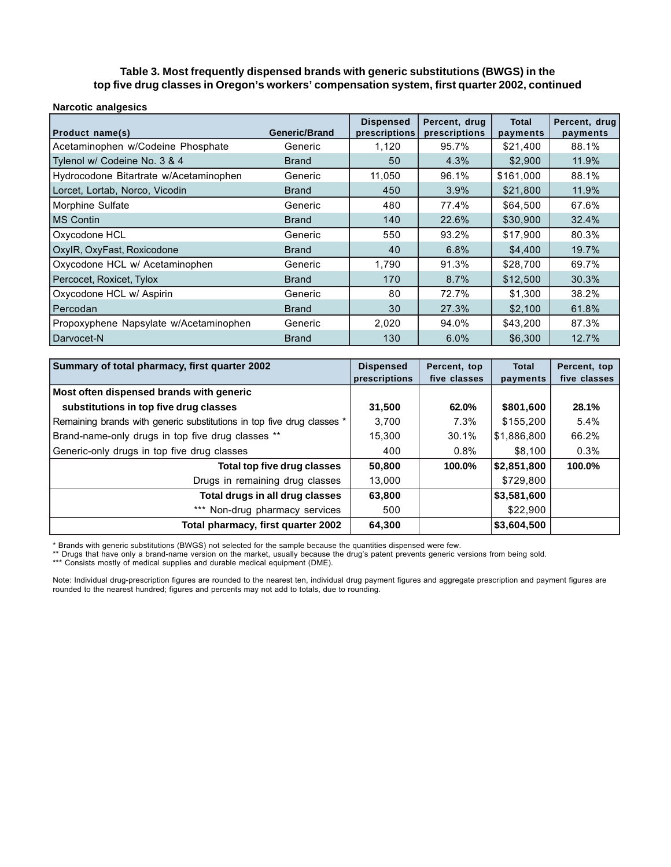## **Table 3. Most frequently dispensed brands with generic substitutions (BWGS) in the top five drug classes in Oregon's workers' compensation system, first quarter 2002, continued**

| <b>Narcotic analgesics</b>             |                      |                                   |                                |                          |                           |
|----------------------------------------|----------------------|-----------------------------------|--------------------------------|--------------------------|---------------------------|
| <b>Product name(s)</b>                 | <b>Generic/Brand</b> | <b>Dispensed</b><br>prescriptions | Percent, drug<br>prescriptions | <b>Total</b><br>payments | Percent, drug<br>payments |
| Acetaminophen w/Codeine Phosphate      | Generic              | 1,120                             | 95.7%                          | \$21,400                 | 88.1%                     |
| Tylenol w/ Codeine No. 3 & 4           | <b>Brand</b>         | 50                                | 4.3%                           | \$2,900                  | 11.9%                     |
| Hydrocodone Bitartrate w/Acetaminophen | Generic              | 11,050                            | 96.1%                          | \$161,000                | 88.1%                     |
| Lorcet, Lortab, Norco, Vicodin         | <b>Brand</b>         | 450                               | 3.9%                           | \$21,800                 | 11.9%                     |
| Morphine Sulfate                       | Generic              | 480                               | 77.4%                          | \$64,500                 | 67.6%                     |
| IMS Contin                             | <b>Brand</b>         | 140                               | 22.6%                          | \$30,900                 | 32.4%                     |
| Oxycodone HCL                          | Generic              | 550                               | 93.2%                          | \$17,900                 | 80.3%                     |
| OxylR, OxyFast, Roxicodone             | <b>Brand</b>         | 40                                | 6.8%                           | \$4,400                  | 19.7%                     |
| Oxycodone HCL w/ Acetaminophen         | Generic              | 1.790                             | 91.3%                          | \$28,700                 | 69.7%                     |
| Percocet, Roxicet, Tylox               | <b>Brand</b>         | 170                               | 8.7%                           | \$12,500                 | 30.3%                     |
| Oxycodone HCL w/ Aspirin               | Generic              | 80                                | 72.7%                          | \$1,300                  | 38.2%                     |
| l Percodan                             | <b>Brand</b>         | 30                                | 27.3%                          | \$2,100                  | 61.8%                     |
| Propoxyphene Napsylate w/Acetaminophen | Generic              | 2,020                             | 94.0%                          | \$43,200                 | 87.3%                     |
| l Darvocet-N                           | <b>Brand</b>         | 130                               | 6.0%                           | \$6,300                  | 12.7%                     |

| Summary of total pharmacy, first quarter 2002                          | <b>Dispensed</b> | Percent, top | <b>Total</b> | Percent, top |
|------------------------------------------------------------------------|------------------|--------------|--------------|--------------|
|                                                                        | prescriptions    | five classes | payments     | five classes |
| Most often dispensed brands with generic                               |                  |              |              |              |
| substitutions in top five drug classes                                 | 31,500           | 62.0%        | \$801,600    | 28.1%        |
| Remaining brands with generic substitutions in top five drug classes * | 3,700            | 7.3%         | \$155,200    | $5.4\%$      |
| Brand-name-only drugs in top five drug classes **                      | 15,300           | 30.1%        | \$1,886,800  | 66.2%        |
| Generic-only drugs in top five drug classes                            | 400              | 0.8%         | \$8,100      | 0.3%         |
| Total top five drug classes                                            | 50,800           | 100.0%       | \$2,851,800  | 100.0%       |
| Drugs in remaining drug classes                                        | 13,000           |              | \$729,800    |              |
| Total drugs in all drug classes                                        | 63,800           |              | \$3,581,600  |              |
| *** Non-drug pharmacy services                                         | 500              |              | \$22,900     |              |
| Total pharmacy, first quarter 2002                                     | 64,300           |              | \$3,604,500  |              |

\* Brands with generic substitutions (BWGS) not selected for the sample because the quantities dispensed were few.<br>\*\* Drugs that have only a brand-name version on the market, usually because the drug's patent prevents gener

\*\*\* Consists mostly of medical supplies and durable medical equipment (DME).

Note: Individual drug-prescription figures are rounded to the nearest ten, individual drug payment figures and aggregate prescription and payment figures are rounded to the nearest hundred; figures and percents may not add to totals, due to rounding.